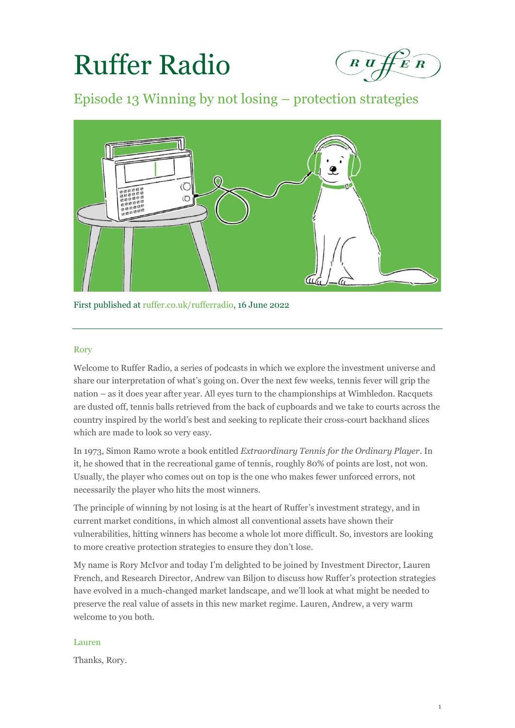# Ruffer Radio



Episode 13 Winning by not losing – protection strategies



First published at [ruffer.co.uk/rufferradio,](file://///ruffer.local/dfs/Shared/Communications/Content%20marketing/Ruffer%20Radio/Podcast%20series/7.%20July/Transcript/ruffer.co.uk/rufferradio) 16 June 2022

# Rory

Welcome to Ruffer Radio, a series of podcasts in which we explore the investment universe and share our interpretation of what's going on. Over the next few weeks, tennis fever will grip the nation – as it does year after year. All eyes turn to the championships at Wimbledon. Racquets are dusted off, tennis balls retrieved from the back of cupboards and we take to courts across the country inspired by the world's best and seeking to replicate their cross-court backhand slices which are made to look so very easy.

In 1973, Simon Ramo wrote a book entitled *Extraordinary Tennis for the Ordinary Player*. In it, he showed that in the recreational game of tennis, roughly 80% of points are lost, not won. Usually, the player who comes out on top is the one who makes fewer unforced errors, not necessarily the player who hits the most winners.

The principle of winning by not losing is at the heart of Ruffer's investment strategy, and in current market conditions, in which almost all conventional assets have shown their vulnerabilities, hitting winners has become a whole lot more difficult. So, investors are looking to more creative protection strategies to ensure they don't lose.

My name is Rory McIvor and today I'm delighted to be joined by Investment Director, Lauren French, and Research Director, Andrew van Biljon to discuss how Ruffer's protection strategies have evolved in a much-changed market landscape, and we'll look at what might be needed to preserve the real value of assets in this new market regime. Lauren, Andrew, a very warm welcome to you both.

# Lauren

Thanks, Rory.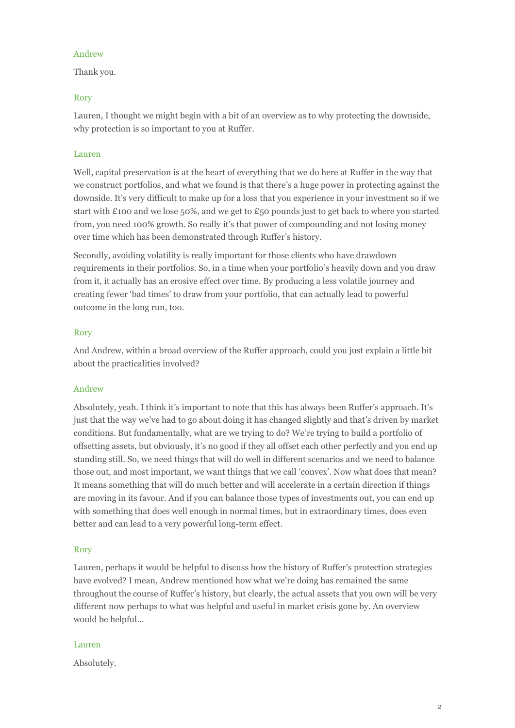# Andrew

Thank you.

# Rory

Lauren, I thought we might begin with a bit of an overview as to why protecting the downside, why protection is so important to you at Ruffer.

# Lauren

Well, capital preservation is at the heart of everything that we do here at Ruffer in the way that we construct portfolios, and what we found is that there's a huge power in protecting against the downside. It's very difficult to make up for a loss that you experience in your investment so if we start with £100 and we lose 50%, and we get to £50 pounds just to get back to where you started from, you need 100% growth. So really it's that power of compounding and not losing money over time which has been demonstrated through Ruffer's history.

Secondly, avoiding volatility is really important for those clients who have drawdown requirements in their portfolios. So, in a time when your portfolio's heavily down and you draw from it, it actually has an erosive effect over time. By producing a less volatile journey and creating fewer 'bad times' to draw from your portfolio, that can actually lead to powerful outcome in the long run, too.

## Rory

And Andrew, within a broad overview of the Ruffer approach, could you just explain a little bit about the practicalities involved?

# Andrew

Absolutely, yeah. I think it's important to note that this has always been Ruffer's approach. It's just that the way we've had to go about doing it has changed slightly and that's driven by market conditions. But fundamentally, what are we trying to do? We're trying to build a portfolio of offsetting assets, but obviously, it's no good if they all offset each other perfectly and you end up standing still. So, we need things that will do well in different scenarios and we need to balance those out, and most important, we want things that we call 'convex'. Now what does that mean? It means something that will do much better and will accelerate in a certain direction if things are moving in its favour. And if you can balance those types of investments out, you can end up with something that does well enough in normal times, but in extraordinary times, does even better and can lead to a very powerful long-term effect.

# Rory

Lauren, perhaps it would be helpful to discuss how the history of Ruffer's protection strategies have evolved? I mean, Andrew mentioned how what we're doing has remained the same throughout the course of Ruffer's history, but clearly, the actual assets that you own will be very different now perhaps to what was helpful and useful in market crisis gone by. An overview would be helpful…

#### Lauren

Absolutely.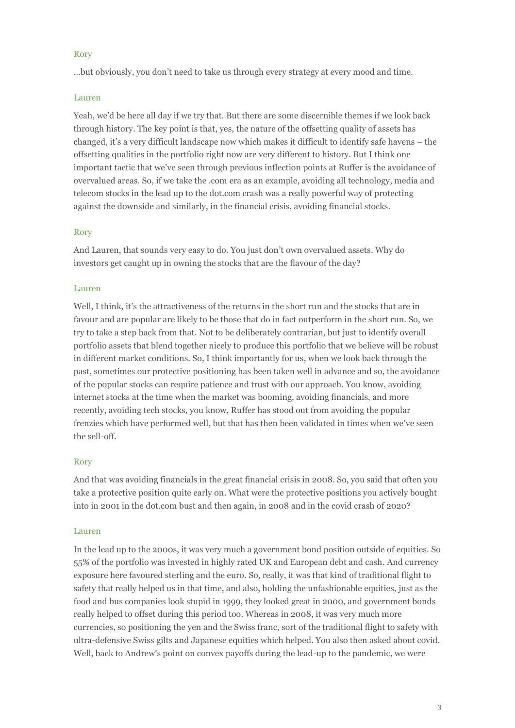## Rory

…but obviously, you don't need to take us through every strategy at every mood and time.

## Lauren

Yeah, we'd be here all day if we try that. But there are some discernible themes if we look back through history. The key point is that, yes, the nature of the offsetting quality of assets has changed, it's a very difficult landscape now which makes it difficult to identify safe havens – the offsetting qualities in the portfolio right now are very different to history. But I think one important tactic that we've seen through previous inflection points at Ruffer is the avoidance of overvalued areas. So, if we take the .com era as an example, avoiding all technology, media and telecom stocks in the lead up to the dot.com crash was a really powerful way of protecting against the downside and similarly, in the financial crisis, avoiding financial stocks.

# Rory

And Lauren, that sounds very easy to do. You just don't own overvalued assets. Why do investors get caught up in owning the stocks that are the flavour of the day?

## Lauren

Well, I think, it's the attractiveness of the returns in the short run and the stocks that are in favour and are popular are likely to be those that do in fact outperform in the short run. So, we try to take a step back from that. Not to be deliberately contrarian, but just to identify overall portfolio assets that blend together nicely to produce this portfolio that we believe will be robust in different market conditions. So, I think importantly for us, when we look back through the past, sometimes our protective positioning has been taken well in advance and so, the avoidance of the popular stocks can require patience and trust with our approach. You know, avoiding internet stocks at the time when the market was booming, avoiding financials, and more recently, avoiding tech stocks, you know, Ruffer has stood out from avoiding the popular frenzies which have performed well, but that has then been validated in times when we've seen the sell-off.

#### Rory

And that was avoiding financials in the great financial crisis in 2008. So, you said that often you take a protective position quite early on. What were the protective positions you actively bought into in 2001 in the dot.com bust and then again, in 2008 and in the covid crash of 2020?

#### Lauren

In the lead up to the 2000s, it was very much a government bond position outside of equities. So 55% of the portfolio was invested in highly rated UK and European debt and cash. And currency exposure here favoured sterling and the euro. So, really, it was that kind of traditional flight to safety that really helped us in that time, and also, holding the unfashionable equities, just as the food and bus companies look stupid in 1999, they looked great in 2000, and government bonds really helped to offset during this period too. Whereas in 2008, it was very much more currencies, so positioning the yen and the Swiss franc, sort of the traditional flight to safety with ultra-defensive Swiss gilts and Japanese equities which helped. You also then asked about covid. Well, back to Andrew's point on convex payoffs during the lead-up to the pandemic, we were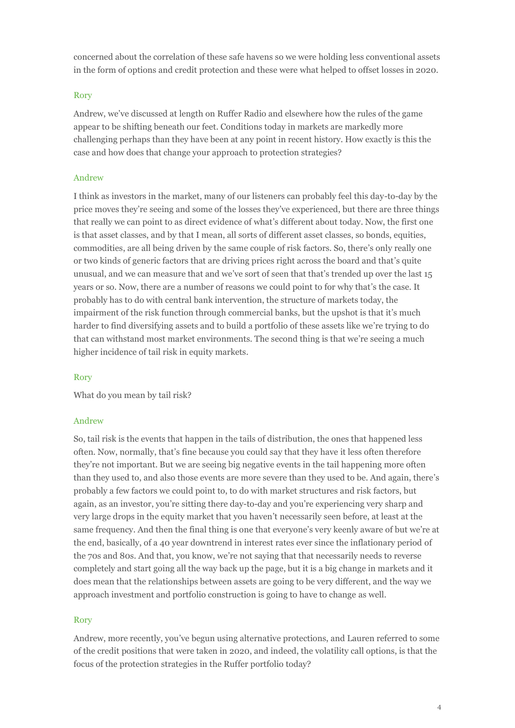concerned about the correlation of these safe havens so we were holding less conventional assets in the form of options and credit protection and these were what helped to offset losses in 2020.

## Rory

Andrew, we've discussed at length on Ruffer Radio and elsewhere how the rules of the game appear to be shifting beneath our feet. Conditions today in markets are markedly more challenging perhaps than they have been at any point in recent history. How exactly is this the case and how does that change your approach to protection strategies?

### Andrew

I think as investors in the market, many of our listeners can probably feel this day-to-day by the price moves they're seeing and some of the losses they've experienced, but there are three things that really we can point to as direct evidence of what's different about today. Now, the first one is that asset classes, and by that I mean, all sorts of different asset classes, so bonds, equities, commodities, are all being driven by the same couple of risk factors. So, there's only really one or two kinds of generic factors that are driving prices right across the board and that's quite unusual, and we can measure that and we've sort of seen that that's trended up over the last 15 years or so. Now, there are a number of reasons we could point to for why that's the case. It probably has to do with central bank intervention, the structure of markets today, the impairment of the risk function through commercial banks, but the upshot is that it's much harder to find diversifying assets and to build a portfolio of these assets like we're trying to do that can withstand most market environments. The second thing is that we're seeing a much higher incidence of tail risk in equity markets.

#### Rory

What do you mean by tail risk?

## Andrew

So, tail risk is the events that happen in the tails of distribution, the ones that happened less often. Now, normally, that's fine because you could say that they have it less often therefore they're not important. But we are seeing big negative events in the tail happening more often than they used to, and also those events are more severe than they used to be. And again, there's probably a few factors we could point to, to do with market structures and risk factors, but again, as an investor, you're sitting there day-to-day and you're experiencing very sharp and very large drops in the equity market that you haven't necessarily seen before, at least at the same frequency. And then the final thing is one that everyone's very keenly aware of but we're at the end, basically, of a 40 year downtrend in interest rates ever since the inflationary period of the 70s and 80s. And that, you know, we're not saying that that necessarily needs to reverse completely and start going all the way back up the page, but it is a big change in markets and it does mean that the relationships between assets are going to be very different, and the way we approach investment and portfolio construction is going to have to change as well.

#### Rory

Andrew, more recently, you've begun using alternative protections, and Lauren referred to some of the credit positions that were taken in 2020, and indeed, the volatility call options, is that the focus of the protection strategies in the Ruffer portfolio today?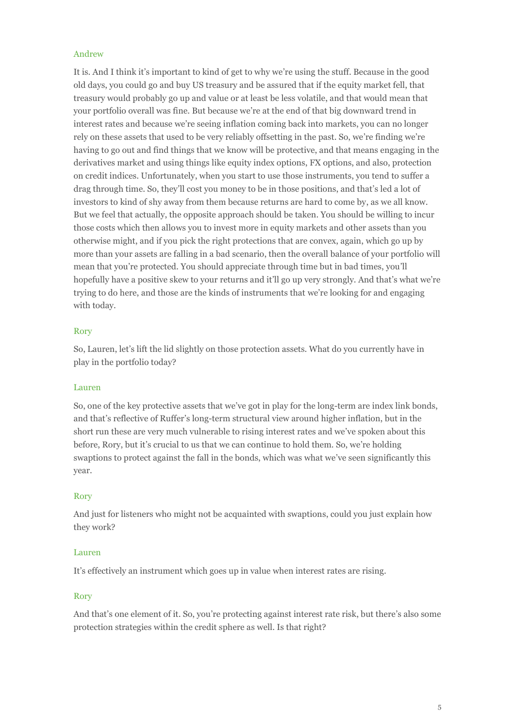## Andrew

It is. And I think it's important to kind of get to why we're using the stuff. Because in the good old days, you could go and buy US treasury and be assured that if the equity market fell, that treasury would probably go up and value or at least be less volatile, and that would mean that your portfolio overall was fine. But because we're at the end of that big downward trend in interest rates and because we're seeing inflation coming back into markets, you can no longer rely on these assets that used to be very reliably offsetting in the past. So, we're finding we're having to go out and find things that we know will be protective, and that means engaging in the derivatives market and using things like equity index options, FX options, and also, protection on credit indices. Unfortunately, when you start to use those instruments, you tend to suffer a drag through time. So, they'll cost you money to be in those positions, and that's led a lot of investors to kind of shy away from them because returns are hard to come by, as we all know. But we feel that actually, the opposite approach should be taken. You should be willing to incur those costs which then allows you to invest more in equity markets and other assets than you otherwise might, and if you pick the right protections that are convex, again, which go up by more than your assets are falling in a bad scenario, then the overall balance of your portfolio will mean that you're protected. You should appreciate through time but in bad times, you'll hopefully have a positive skew to your returns and it'll go up very strongly. And that's what we're trying to do here, and those are the kinds of instruments that we're looking for and engaging with today.

## Rory

So, Lauren, let's lift the lid slightly on those protection assets. What do you currently have in play in the portfolio today?

# Lauren

So, one of the key protective assets that we've got in play for the long-term are index link bonds, and that's reflective of Ruffer's long-term structural view around higher inflation, but in the short run these are very much vulnerable to rising interest rates and we've spoken about this before, Rory, but it's crucial to us that we can continue to hold them. So, we're holding swaptions to protect against the fall in the bonds, which was what we've seen significantly this year.

#### Rory

And just for listeners who might not be acquainted with swaptions, could you just explain how they work?

#### Lauren

It's effectively an instrument which goes up in value when interest rates are rising.

# Rory

And that's one element of it. So, you're protecting against interest rate risk, but there's also some protection strategies within the credit sphere as well. Is that right?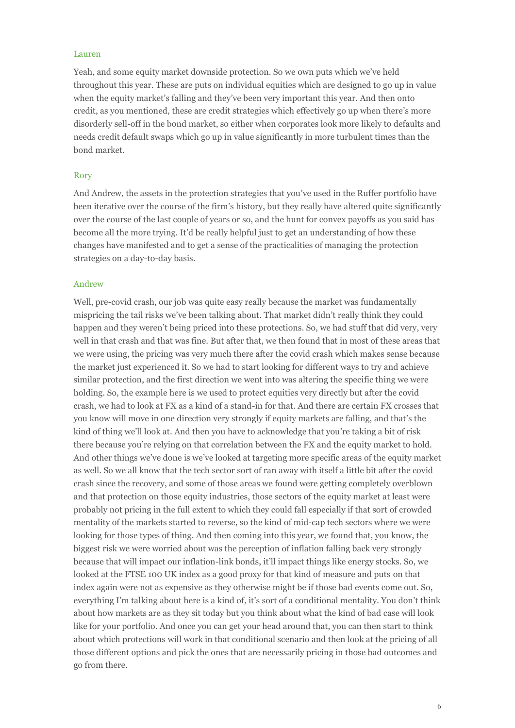#### Lauren

Yeah, and some equity market downside protection. So we own puts which we've held throughout this year. These are puts on individual equities which are designed to go up in value when the equity market's falling and they've been very important this year. And then onto credit, as you mentioned, these are credit strategies which effectively go up when there's more disorderly sell-off in the bond market, so either when corporates look more likely to defaults and needs credit default swaps which go up in value significantly in more turbulent times than the bond market.

#### Rory

And Andrew, the assets in the protection strategies that you've used in the Ruffer portfolio have been iterative over the course of the firm's history, but they really have altered quite significantly over the course of the last couple of years or so, and the hunt for convex payoffs as you said has become all the more trying. It'd be really helpful just to get an understanding of how these changes have manifested and to get a sense of the practicalities of managing the protection strategies on a day-to-day basis.

#### Andrew

Well, pre-covid crash, our job was quite easy really because the market was fundamentally mispricing the tail risks we've been talking about. That market didn't really think they could happen and they weren't being priced into these protections. So, we had stuff that did very, very well in that crash and that was fine. But after that, we then found that in most of these areas that we were using, the pricing was very much there after the covid crash which makes sense because the market just experienced it. So we had to start looking for different ways to try and achieve similar protection, and the first direction we went into was altering the specific thing we were holding. So, the example here is we used to protect equities very directly but after the covid crash, we had to look at FX as a kind of a stand-in for that. And there are certain FX crosses that you know will move in one direction very strongly if equity markets are falling, and that's the kind of thing we'll look at. And then you have to acknowledge that you're taking a bit of risk there because you're relying on that correlation between the FX and the equity market to hold. And other things we've done is we've looked at targeting more specific areas of the equity market as well. So we all know that the tech sector sort of ran away with itself a little bit after the covid crash since the recovery, and some of those areas we found were getting completely overblown and that protection on those equity industries, those sectors of the equity market at least were probably not pricing in the full extent to which they could fall especially if that sort of crowded mentality of the markets started to reverse, so the kind of mid-cap tech sectors where we were looking for those types of thing. And then coming into this year, we found that, you know, the biggest risk we were worried about was the perception of inflation falling back very strongly because that will impact our inflation-link bonds, it'll impact things like energy stocks. So, we looked at the FTSE 100 UK index as a good proxy for that kind of measure and puts on that index again were not as expensive as they otherwise might be if those bad events come out. So, everything I'm talking about here is a kind of, it's sort of a conditional mentality. You don't think about how markets are as they sit today but you think about what the kind of bad case will look like for your portfolio. And once you can get your head around that, you can then start to think about which protections will work in that conditional scenario and then look at the pricing of all those different options and pick the ones that are necessarily pricing in those bad outcomes and go from there.